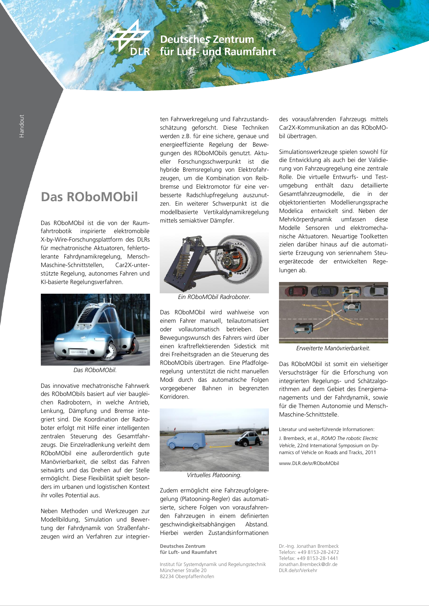### **Deutsches Zentrum** für Luft- und Raumfahrt

## **Das ROboMObil**

Das ROboMObil ist die von der Raumfahrtrobotik inspirierte elektromobile X-by-Wire-Forschungsplattform des DLRs für mechatronische Aktuatoren, fehlertolerante Fahrdynamikregelung, Mensch-Maschine-Schnittstellen Car2X-unterstützte Regelung, autonomes Fahren und KI-basierte Regelungsverfahren.



*Das ROboMObil.*

Das innovative mechatronische Fahrwerk des ROboMObils basiert auf vier baugleichen Radrobotern, in welche Antrieb, Lenkung, Dämpfung und Bremse integriert sind. Die Koordination der Radroboter erfolgt mit Hilfe einer intelligenten zentralen Steuerung des Gesamtfahrzeugs. Die Einzelradlenkung verleiht dem ROboMObil eine außerordentlich gute Manövrierbarkeit, die selbst das Fahren seitwärts und das Drehen auf der Stelle ermöglicht. Diese Flexibilität spielt besonders im urbanen und logistischen Kontext ihr volles Potential aus.

Neben Methoden und Werkzeugen zur Modellbildung, Simulation und Bewertung der Fahrdynamik von Straßenfahrzeugen wird an Verfahren zur integrierten Fahrwerkregelung und Fahrzustandsschätzung geforscht. Diese Techniken werden z.B. für eine sichere, genaue und energieeffiziente Regelung der Bewegungen des ROboMObils genutzt. Aktueller Forschungsschwerpunkt ist die hybride Bremsregelung von Elektrofahrzeugen, um die Kombination von Reibbremse und Elektromotor für eine verbesserte Radschlupfregelung auszunutzen. Ein weiterer Schwerpunkt ist die modellbasierte Vertikaldynamikregelung mittels semiaktiver Dämpfer.



*Ein ROboMObil Radroboter.*

Das ROboMObil wird wahlweise von einem Fahrer manuell, teilautomatisiert oder vollautomatisch betrieben. Der Bewegungswunsch des Fahrers wird über einen kraftreflektierenden Sidestick mit drei Freiheitsgraden an die Steuerung des ROboMObils übertragen. Eine Pfadfolgeregelung unterstützt die nicht manuellen Modi durch das automatische Folgen vorgegebener Bahnen in begrenzten Korridoren.



*Virtuelles Platooning.*

Zudem ermöglicht eine Fahrzeugfolgeregelung (Platooning-Regler) das automatisierte, sichere Folgen von vorausfahrenden Fahrzeugen in einem definierten geschwindigkeitsabhängigen Abstand. Hierbei werden Zustandsinformationen

**Deutsches Zentrum**<br> **Für Luft- und Raumfahrt** Dr.-Ing. Jonathan Brembeck<br>
Telefon: +49 8153-28-2472

Institut für Systemdynamik und Regelungstechnik Jonathan.Brembeck<br>Münchener Straße 20 Münchener Straße 20 82234 Obernfaffenhofen

des vorausfahrenden Fahrzeugs mittels Car2X-Kommunikation an das ROboMObil übertragen.

Simulationswerkzeuge spielen sowohl für die Entwicklung als auch bei der Validierung von Fahrzeugregelung eine zentrale Rolle. Die virtuelle Entwurfs- und Testumgebung enthält dazu detaillierte Gesamtfahrzeugmodelle, die in der objektorientierten Modellierungssprache Modelica entwickelt sind. Neben der Mehrkörperdynamik umfassen diese Modelle Sensoren und elektromechanische Aktuatoren. Neuartige Toolketten zielen darüber hinaus auf die automatisierte Erzeugung von seriennahem Steuergerätecode der entwickelten Regelungen ab.



*Erweiterte Manövrierbarkeit.*

Das ROboMObil ist somit ein vielseitiger Versuchsträger für die Erforschung von integrierten Regelungs- und Schätzalgorithmen auf dem Gebiet des Energiemanagements und der Fahrdynamik, sowie für die Themen Autonomie und Mensch-Maschine-Schnittstelle.

Literatur und weiterführende Informationen:

J. Brembeck, et al., *ROMO The robotic Electric Vehicle*, 22nd International Symposium on Dynamics of Vehicle on Roads and Tracks, 2011

www.DLR.de/sr/ROboMObil

**für Luft- und Raumfahrt** Telefon: +49 8153-28-2472 Telefax: +49 8153-28-1441<br>Jonathan Brembeck@dlr.de